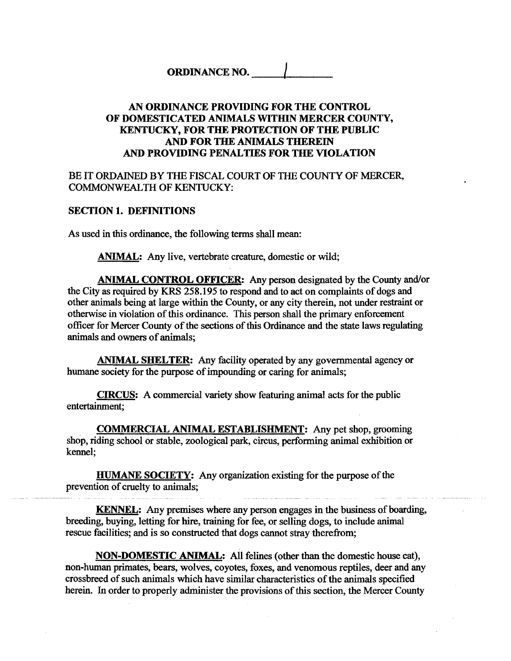# **ORDINANCE NO.**

## **AN ORDINANCE PROVIDING FOR THE CONTROL OF DOMESTICATED ANIMALS WITHIN MERCER COUNTY, KENTUCKY, FOR THE PROTECTION OF THE PUBLIC AND FOR THE ANIMALS THEREIN AND PROVIDING PENALTIES FOR THE VIOLATION**

BE IT ORDAINED BY THE FISCAL COURT OF THE COUNTY OF MERCER, COMMONWEALTH OF KENTUCKY:

## **SECTION 1. DEFINITIONS**

As used in this ordinance, the following terms shall mean:

ANIMAL: Any live, vertebrate creature, domestic or wild;

**ANIMAL CONTROL OFFICER:** Any person designated by the County and/or the City as required by KRS 258.195 to respond and to act on complaints of dogs and other animals being at large within the County, or any city therein, not under restraint or otherwise in violation of this ordinance. This person shall the primary enforcement officer for Mercer County of the sections of this Ordinance and the state laws regulating animals and owners of animals;

**ANIMAL SHELTER:** Any facility operated by any governmental agency or humane society for the purpose of impounding or caring for animals;

**CIRCUS:** A commercial variety show featuring animal acts for the public entertainment;

**COMMERCIAL ANIMAL ESTABLISHMENT:** Any pet shop, grooming shop, riding school or stable, zoological park, circus, performing animal exhibition or kennel;

**HUMANE SOCIETY:** Any organization existing for the purpose of the prevention of cruelty to animals;

**KENNEL:** Any premises where any person engages in the business of boarding, breeding, buying, letting for **hire,** training for fee, or selling dogs, to include animal rescue facilities; and is so constructed that dogs cannot stray therefrom;

**NON-DOMESTIC ANIMAL:** All felines (other than the domestic house cat), non-human primates, bears, wolves, coyotes, foxes, and venomous reptiles, deer and any crossbreed of such animals which have similar characteristics of the animals specified herein. In order to properly administer the provisions of this section, the Mercer County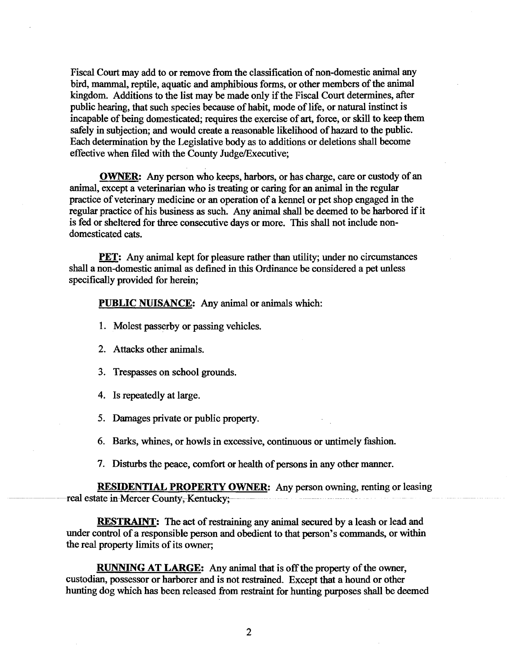Fiscal Court may add to or remove fiom the classification of non-domestic animal any bird, mammal, reptile, aquatic and amphibious forms, or other members of the animal kingdom. Additions to the list may be made only if the Fiscal Court determines, after public hearing, that such species because of habit, mode of life, or natural instinct is incapable of being domesticated; requires the exercise of art, force, or skill to keep them safely in subjection; and would create a reasonable likelihood of hazard to the public. Each determination by the Legislative body as to additions or deletions shall become effective when filed with the County Judge/Executive;

**OWNER:** Any person who keeps, harbors, or has charge, care or custody of an animal, except a veterinarian who is treating or caring for an animal in the regular practice of veterinary medicine or an operation of a kennel or pet shop engaged in the regular practice of his business as such. Any animal shall be deemed to be harbored if it is fed or sheltered for three consecutive days or more. This shall not include nondomesticated cats.

**PET:** Any animal kept for pleasure rather than utility; under no circumstances shall a non-domestic animal as defined in this Ordinance be considered a pet unless specifically provided for herein;

#### **PUBLIC NUISANCE:** Any animal or animals which:

- 1. Molest passerby or passing vehicles.
- 2. Attacks other animals.
- 3. Trespasses on school grounds.
- 4. Is repeatedly at large.
- 5. Damages private or public property.
- 6. Barks, whines, or howls in excessive, continuous or untimely fashion.
- 7. Disturbs the peace, comfort or health of persons in any other manner.

**RESIDENTIAL PROPERTY OWNER:** Any person owning, renting or leasing real estate in-Mercer County, Kentucky;

**RESTRAINT: The** act of restraining any animal secured by a leash or lead and under control of a responsible person and obedient to that person's commands, or within the real property limits of its owner;

**RUNNING AT LARGE:** Any animal **that** is off the property of the owner, custodian, possessor or harborer and is not restrained. Except that a hound or other hunting dog which has been released fiom restraint for hunting purposes shall be deemed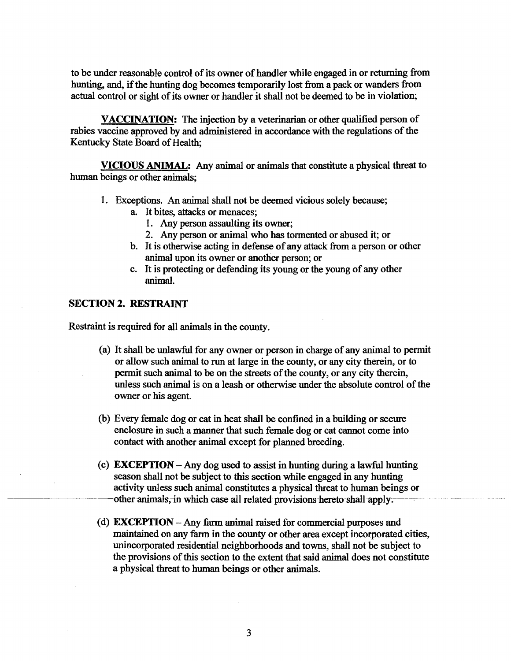to be under reasonable control of its owner of handler while engaged in or returning from hunting, and, if the hunting dog becomes temporarily lost from a pack or wanders from actual control or sight of its owner or handler it shall not be deemed to be in violation;

**VACCINATION:** The injection by a veterinarian or other qualified person of rabies vaccine approved by and administered in accordance with the regulations of the Kentucky State Board of Health,

**VICIOUS ANIMAL:** Any animal or animals that constitute a physical threat to human beings or other animals;

- 1. Exceptions. An animal shall not be deemed vicious solely because;
	- a. It bites, attacks or menaces;
		- 1. Any person assaulting its owner;
		- 2. Any person or animal who has tormented or abused it; or
	- b. It is otherwise acting in defense of any attack from a person or other animal upon its owner or another person; or
	- c. It is protecting or defending its young or the young of any other animal.

## **SECTION 2. RESTRAINT**

Restraint is required for all animals in the county.

- (a) It shall be unlawful for any owner or person in charge of any animal to permit or allow such animal to run at large in the county, or any city therein, or to permit such animal to be on the streets of the county, or any city therein, unless such animal is on a leash or otherwise under the absolute control of the owner or his agent.
- (b) Every female dog or cat in heat shall be confined in a building or secure enclosure in such a manner that such female dog or cat cannot come into contact with another animal except for planned breeding.
- (c) **EXCEPTION**  Any dog used to assist in hunting during a lawful hunting season shall not be subject to this section while engaged in any hunting activity unless such animal constitutes a physical threat to human beings or other animals, in which case all related provisions hereto shall apply.
- (d) **EXCEPTION**  Any farm animal raised for commercial purposes and maintained on **any** farm in the county or other area except incorporated cities, unincorporated residential neighborhoods and towns, shall not be subject to the provisions of this section to the extent that said animal does not constitute a physical threat to human beings or other animals.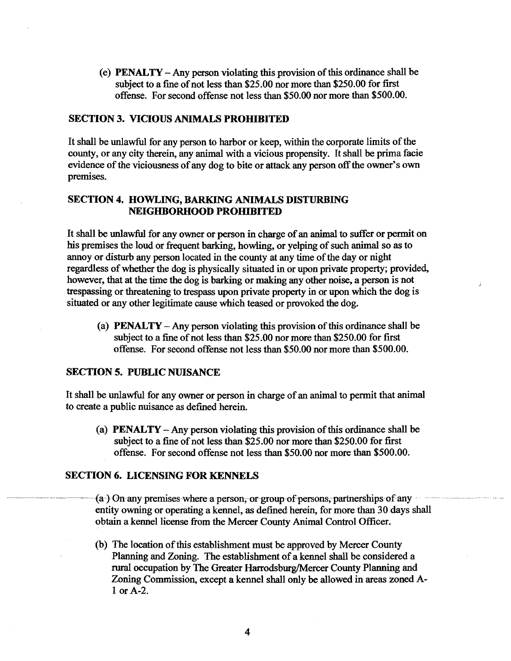(e) **PENALTY** - Any person violating this provision of this ordinance shall be subject to a fine of not less than \$25.00 nor more than \$250.00 for first offense. For second offense not less than \$50.00 nor more than \$500.00.

## **SECTION 3. VICIOUS ANIMALS PROHIBITED**

It shall be unlawful for any person to harbor or keep, within the corporate limits of the county, or any city therein, any animal with a vicious propensity. It shall be prima facie evidence of the viciousness of any dog to bite or attack any person off the owner's own premises.

## **SECTION 4, HOWLING, BARKING ANIMALS DISTURBING NEIGHBORHOOD PROHIBITED**

It shall be unlawful for any owner or person in charge of an animal to suffer or permit on his premises the loud or frequent barking, howling, or yelping of such animal so as to annoy or disturb any person located in the county at any time of the day or night regardless of whether the dog is physically situated in or upon private property; provided, however, that at the time the dog is barking or making any other noise, a person is not trespassing or threatening to trespass upon private property in or upon which the dog is situated or any other legitimate cause which teased or provoked the dog.

(a) **PENALTY** - Any person violating this provision of this ordinance shall be subject to a fine of not less than \$25.00 nor more than \$250.00 for first offense. For second offense not less than \$50.00 nor more than \$500.00.

## **SECTION 5. PUBLIC NUISANCE**

It shall be unlawful for any owner or person in charge of an animal to permit that animal to create a public nuisance as defmed herein.

(a) **PENALTY** - Any person violating this provision of this ordinance shall be subject to a fine of not less than \$25.00 nor more than \$250.00 for first offense. For second offense not less than \$50.00 nor more than \$500.00.

#### **SECTION 6. LICENSING FOR KENNELS**

offense. For second offense not less than \$50.00 nor more than \$500.00.<br>SECTION 6. LICENSING FOR KENNELS<br>(a-) On any premises where a person, or group of persons, partnerships of any<br>entity our premises where a person, or entity owning or operating a kennel, as defined herein, for more than 30 days shall obtain a kennel license fiom the Mercer County Animal Control Officer.

> (b) The location of this establishment must be approved by Mercer County Planning and Zoning. The establishment of a kennel shall be considered a rural occupation by The Greater Harrodsburg/Mercer County Planning and Zoning Commission, except a kennel shall only be allowed in areas zoned A-1 or A-2.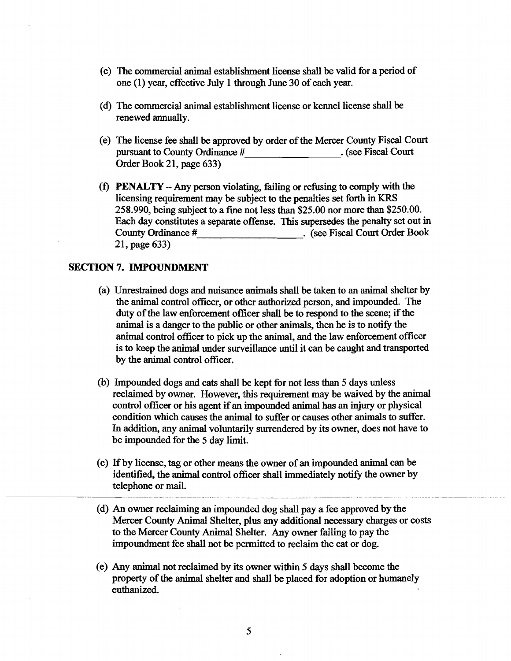- (c) The commercial animal establishment license shall be valid for a period of one (1) year, effective July 1 through June 30 of each year.
- (d) The commercial animal establishment license or kennel license shall be renewed annually.
- (e) The license fee shall be approved by order of the Mercer County Fiscal Court pursuant to County Ordinance # . (see Fiscal Court Order Book 21, page 633)
- (0 **PENALTY**  Any person violating, failing or refusing to comply with the licensing requirement may be subject to the penalties set forth in KRS 258.990, being subject to a fine not less than \$25.00 nor more than \$250.00. Each day constitutes a separate offense. This supersedes the penalty set out in County Ordinance # (see Fiscal Court Order Book **County Order Book** . (see Fiscal Court Order Book 21, page 633)

## **SECTION 7. IMPOUNDMENT**

- (a) Unrestrained dogs and nuisance animals shall be taken to an animal shelter by the animal control officer, or other authorized person, and impounded. The duty of the law enforcement officer shall be to respond to the scene; if the animal is a danger to the public or other animals, then he is to notify the animal control officer to pick up the animal, and the law enforcement officer is to keep the animal under surveillance until it can be caught and transported by the animal control officer.
- (b) Impounded dogs and cats shall be kept for not less than 5 days unless reclaimed by owner. However, this requirement may be waived by the animal control officer or his agent if an impounded animal has an injury or physical condition which causes the animal to suffer or causes other animals to suffer. In addition, any animal voluntarily surrendered by its owner, does not have to be impounded for the 5 day limit.
- (c) If by license, tag or other means the owner of an impounded animal can be identified, the animal control officer shall immediately notify the owner by telephone or mail.
- (d) An owner reclaiming **an** impounded dog shall pay a fee approved by the Mercer County Animal Shelter, plus any additional necessary charges or costs to the Mercer County Animal Shelter. Any owner failing to pay the impoundment fee shall not be permitted to reclaim the cat or dog.
- (e) Any animal not reclaimed by its owner within 5 days shall become the property of the animal shelter and shall be placed for adoption or humanely euthanized.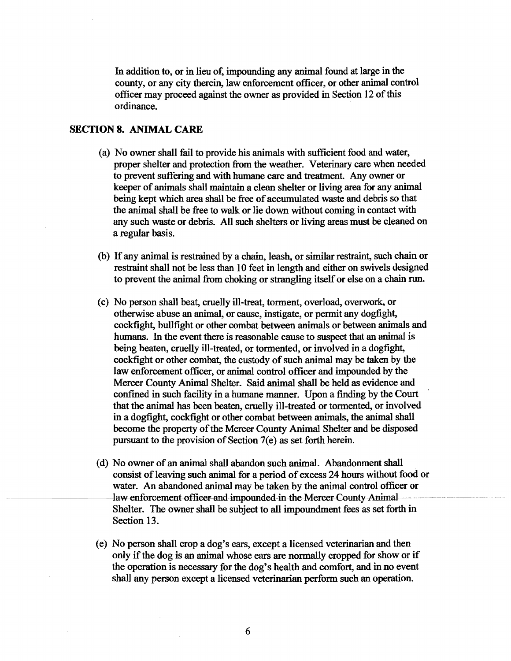In addition to, or in lieu of, impounding any animal found at large in the county, or any city therein, law enforcement officer, or other animal control officer may proceed against the owner as provided in Section 12 of this ordinance.

## **SECTION 8. ANIMAL CARE**

- (a) No owner shall fail to provide his animals with sufficient food and water, proper shelter and protection fiom the weather. Veterinary care when needed to prevent suffering and with humane care and treatment. Any owner or keeper of animals shall maintain a clean shelter or living area for any animal being kept which area shall be fiee of accumulated waste and debris so that the animal shall be **free** to walk or lie down without coming in contact with any such waste or debris. All such shelters or living areas must be cleaned on a regular basis.
- (b) If any animal is restrained by a chain, leash, or similar restraint, such chain or restraint shall not be less than 10 feet in length and either on swivels designed to prevent the animal fiom choking or strangling itself or else on a chain run.
- (c) No person shall beat, cruelly ill-treat, torment, overload, overwork, or otherwise abuse **an** animal, or cause, instigate, or permit any dogfight, cockfight, bullfight or other combat between animals or between animals and humans. In the event there is reasonable cause to suspect that **an** animal is being beaten, cruelly ill-treated, or tormented, or involved in a dogfight, cockfight or other combat, the custody of such animal may be taken by the law enforcement officer, or animal control officer and impounded by the Mercer County Animal Shelter. Said animal shall be held as evidence and confined in such facility in a humane manner. Upon a finding by the Court that the animal has been beaten, cruelly ill-treated or tormented, or involved in a dogfight, cockfight or other combat between animals, the animal shall become the property of the Mercer County Animal Shelter and be disposed pursuant to the provision of Section 7(e) as set forth herein.
- (d) No owner of an **animal** shall abandon such animal. Abandonment shall consist of leaving such animal for a period of excess 24 hours without food or water. An abandoned animal may be taken by the animal control officer or law enforcement officer and impounded in the Mercer County Animal Shelter. The owner shall be subject to **all** impoundment fees as set forth in Section 13.
- (e) No person shall crop a dog's ears, except a licensed veterinarian and then only if the dog is an animal whose ears are normally cropped for show or if the operation is necessary for the dog's health and comfort, and in no event shall **any** person except a licensed veterinarian perform such an operation.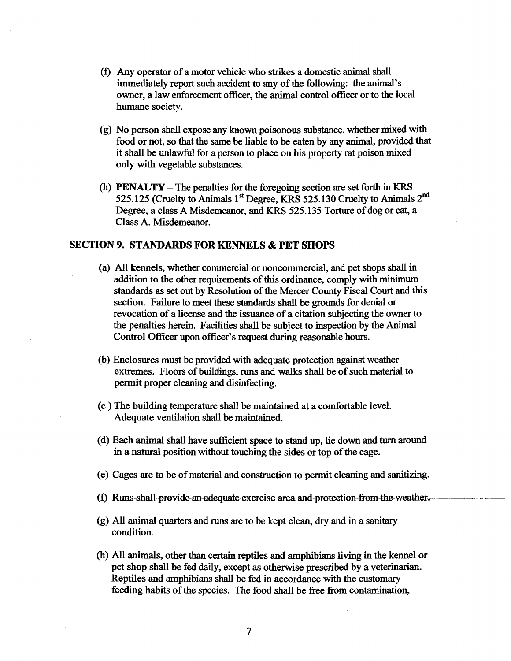- **(f)** Any operator of a motor vehicle who strikes a domestic animal shall immediately report such accident to any of the following: the animal's owner, a law enforcement officer, the animal control officer or to the local humane society.
- (g) No person shall expose any known poisonous substance, whether mixed with food or not, so that the same be liable to be eaten by any animal, provided that it shall be unlawfid for a person to place on his property rat poison mixed only with vegetable substances.
- (h) **PENALTY**  The penalties for the foregoing section are set forth in **KRS**  525.125 (Cruelty to Animals 1<sup>st</sup> Degree, KRS 525.130 Cruelty to Animals 2<sup>nd</sup> Degree, a class A Misdemeanor, and **KRS** 525.1 35 Torture of dog or cat, a Class A. Misdemeanor.

## **SECTION 9. STANDARDS FOR KENNELS** & **PET SHOPS**

- (a) All kennels, whether commercial or noncommercial, and pet shops shall in addition to the other requirements of this ordinance, comply with minimum standards as set out by Resolution of the Mercer County Fiscal Court and this section. Failure to meet these standards shall be grounds for denial or revocation of a license and the issuance of a citation subjecting the owner to the penalties herein. Facilities shall be subject to inspection by the Animal Control Officer upon officer's request during reasonable hours.
- (b) Enclosures must be provided with adequate protection against weather extremes. Floors of buildings, runs and walks shall be of such material to permit proper cleaning and disinfecting.
- (c ) The building temperature shall be maintained at a comfortable level. Adequate ventilation shall be maintained.
- (d) Each animal shall have sufficient space to stand up, lie down and **turn** around in a natural position without touching the sides or top of the cage.
- (e) Cages are to be of material and construction to permit cleaning and sanitizing.
- $(f)$  Runs shall provide an adequate exercise area and protection from the weather.
- (g) All animal quarters and runs are to be kept clean, dry and in a sanitary condition.
- (h) All animals, other than certain reptiles and amphibians living in the kennel or pet shop shall be fed daily, except as otherwise prescribed by a veterinarian. Reptiles and amphibians shall be fed in accordance with the customary feeding habits of the species. The food shall be free fiom contamination,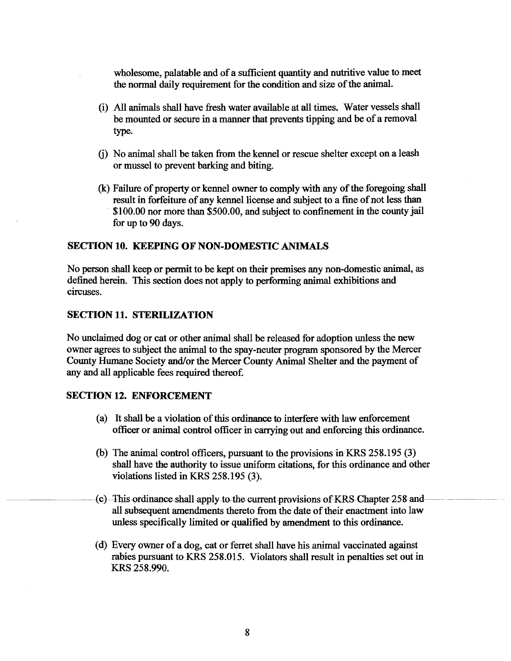wholesome, palatable and of a sufficient quantity and nutritive value to meet the normal daily requirement for the condition and size of the animal.

- (i) All animals shall have fresh water available at all times. Water vessels shall be mounted or secure in a manner that prevents tipping and be of a removal type.
- *6)* No animal shall be taken from the kennel or rescue shelter except on a leash or mussel to prevent barking and biting.
- Q Failure of property or kennel owner to comply with any of the foregoing shall result in forfeiture of any kennel license and subject to a fine of not less than \$100.00 nor more than \$500.00, and subject to confinement in the county jail for up to 90 days.

## **SECTION 10. KEEPING OF' NON-DOMESTIC** *ANIMALS*

No person shall keep or permit to be kept on their premises any non-domestic animal, as defined herein. This section does not apply to performing animal exhibitions and circuses.

## **SECTION 11. STERILIZATION**

No unclaimed dog or cat or other animal shall be released for adoption unless the new owner agrees to subject the animal to the spay-neuter program sponsored by the Mercer County Humane Society and/or the Mercer County Animal Shelter and the payment of any and all applicable fees required thereof.

## **SECTION 12. ENFORCEMENT**

- (a) It shall be a violation of this ordinance to interfere with law enforcement officer or animal control officer in carrying out and enforcing this ordinance.
- (b) The animal control officers, pursuant to the provisions in KRS 258.195  $(3)$ shall have the authority to issue uniform citations, for this ordinance and other violations listed in KRS 258.195 (3).
- (c) This ordinance shall apply to the current provisions of KRS Chapter 258 and all subsequent amendments thereto from the date of their enactment into law unless specifically limited or qualified by amendment to this ordinance.
- (d) Every owner of a dog, cat or ferret shall have his animal vaccinated against rabies pursuant to KRS 258.015. Violators shall result in penalties set out in KRS 258.990.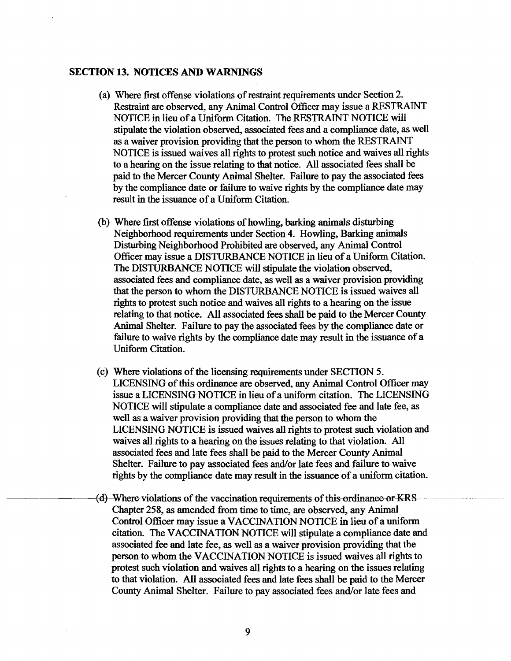#### **SECTION 13. NOTICES AND WARNINGS**

- (a) Where first offense violations of restraint requirements under Section 2. Restraint are observed, any Animal Control Officer may issue a RESTRAINT NOTICE in lieu of a Uniform Citation. The RESTRAINT NOTICE will stipulate the violation observed, associated fees and a compliance date, as well as a waiver provision providing that the person to whom the RESTRAINT NOTICE is issued waives all rights to protest such notice and waives all rights to a hearing on the issue relating to that notice. **AU** associated fees shall be paid to the Mercer County Animal Shelter. Failure to pay the associated fees by the compliance date or failure to waive rights by the compliance date may result in the issuance of a Uniform Citation.
- (b) Where first offense violations of howling, barking **animals** disturbing Neighborhood requirements under Section 4. Howling, Barking animals Disturbing Neighborhood Prohibited are observed, any Animal Control Officer may issue a DISTURBANCE NOTICE in lieu of a Uniform Citation. The DISTURBANCE NOTICE will stipulate the violation observed, associated fees and compliance date, as well as a waiver provision providing that the person to whom the DISTURBANCE NOTICE is issued waives all rights to protest such notice and waives all rights to a hearing on the issue relating to that notice. All associated fees shall be paid to the Mercer County Animal Shelter. Failure to pay the associated fees by the compliance date or failure to waive rights by the compliance date may result in the issuance of a Uniform Citation.
- (c) Where violations of the licensing requirements under SECTION 5. LICENSING of this ordinance are observed, any Animal Control Officer may issue a LICENSING NOTICE in lieu of a uniform citation. The LICENSING NOTICE will stipulate a compliance date and associated fee and late fee, as well as a waiver provision providing that the person to whom the LICENSING NOTICE is issued waives all rights to protest such violation and waives all rights to a hearing on the issues relating to that violation. All associated fees and late fees shall be paid to the Mercer County Animal Shelter. Failure to pay associated fees and/or late fees and failure to waive rights by the compliance date may result in the issuance of a uniform citation. associated fees and late fees shall be paid to the Mercer County Animal<br>Shelter. Failure to pay associated fees and/or late fees and failure to waive<br>rights by the compliance date may result in the issuance of a uniform ci
	- Chapter 258, as amended fiom time to time, are observed, any Animal Control Officer may issue a VACCINATION NOTICE in lieu of a uniform citation. The VACCINATION NOTICE will stipulate a compliance date and associated fee and late fee, as well as a waiver provision providing that the person to whom the VACCINATION NOTICE is issued waives all rights to protest such violation and waives all rights to a hearing on the issues relating to that violation. All associated fees and late fees shall be paid to the Mercer County Animal Shelter. Failure to pay associated fees and/or late fees and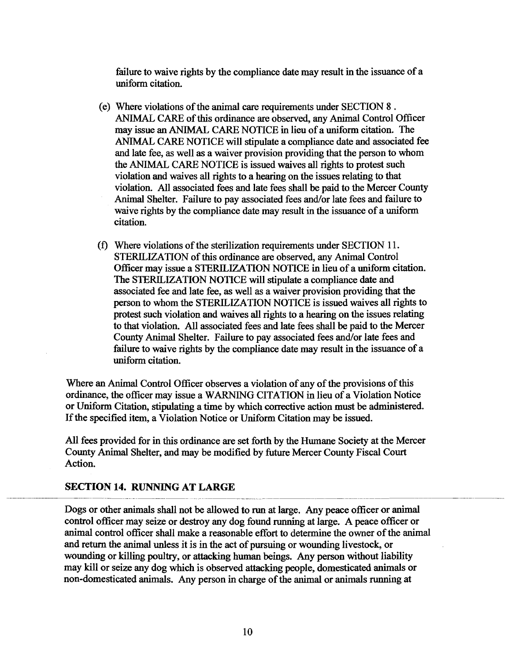failure to waive rights by the compliance date may result in the issuance of a uniform citation.

- (e) Where violations of the animal care requirements under SECTION 8 . ANIMAL, CARE of this ordinance are observed, any Animal Control Officer may issue an **ANIMAL** CARE NOTICE in lieu of a uniform citation. The ANIMAL CARE NOTICE will stipulate a compliance date and associated fee and late fee, as well as a waiver provision providing that the person to whom the ANIMAL CARE NOTICE is issued waives all rights to protest such violation and waives all rights to a hearing on the issues relating to that violation. All associated fees and late fees shall be paid to the Mercer County Animal Shelter. Failure to pay associated fees and/or late fees and failure to waive rights by the compliance date may result in the issuance of a uniform citation.
- (f) Where violations of the sterilization requirements under SECTION 11. STERILIZATION of this ordinance are observed, any Animal Control Officer may issue a STERILIZATION NOTICE in lieu of a uniform citation. The STERILIZATION NOTICE will stipulate a compliance date and associated fee and late fee, as well as a waiver provision providing that the person to whom the STERILIZATION NOTICE is issued waives all rights to protest such violation and waives **all** rights to a hearing on the issues relating to that violation. All associated fees and late fees shall be paid to the Mercer County Animal Shelter. Failure to pay associated fees and/or late fees and failure to waive rights by the compliance date may result in the issuance of a uniform citation.

Where an Animal Control Officer observes a violation of any of the provisions of this ordinance, the officer may issue a WARNING CITATION in lieu of a Violation Notice or Uniform Citation, stipulating a time by which corrective action must be administered. If the specified item, a Violation Notice or Uniform Citation may be issued.

All fees provided for in this ordinance are set forth by the Humane Society at the Mercer County Animal Shelter, and may be modified by future Mercer County Fiscal Court Action.

## **SECTION 14. RUNNING AT LARGE**

Dogs or other animals shall not be allowed to run at large. Any peace officer or animal control officer may seize or destroy any dog found runnjng at large. A peace officer or animal control officer shall make a reasonable effort to determine the owner of the animal and return the animal unless it is in the act of pursuing or wounding livestock, or wounding or killing poultry, or attacking human beings. Any person without liability may kill or seize any dog which is observed attacking people, domesticated animals or non-domesticated animals. Any person in charge of the animal or animals running at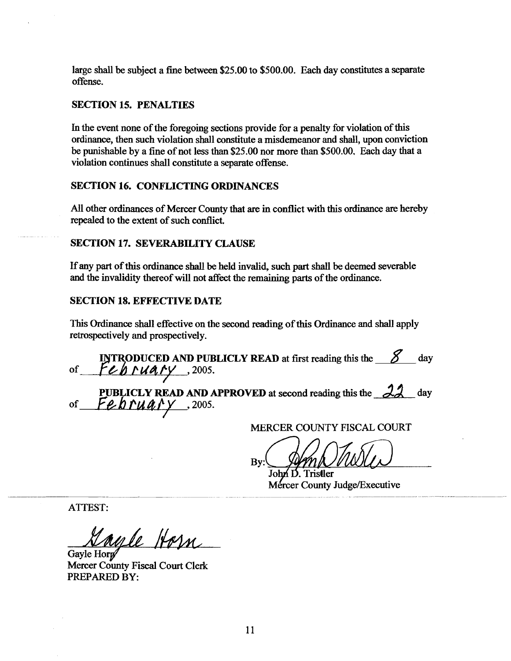large shall be subject a fine between **\$25.00** to **\$500.00.** Each day constitutes a separate offense.

## **SECTION 15. PENALTIES**

In the event none of the foregoing sections provide for a penalty for violation of this ordinance, then such violation shall constitute a misdemeanor and shall, upon conviction be punishable by a fine of not less than **\$25.00** nor more than **\$500.00.** Each day that a violation continues shall constitute a separate offense.

## **SECTION 16. CONFLICTING ORDINANCES**

**All** other ordinances of Mercer County that **are** in conflict with this ordinance **are** hereby repealed to the extent of such conflict.

#### **SECTION 17. SEVERABILITY CLAUSE**

If any part of this ordinance shall be held invalid, such part shall be deemed severable and the invalidity thereof will not affect the remaining parts of the ordinance.

### **SECTION 18. EFFECTIVE DATE**

This Ordinance shall effective on the second reading of this Ordinance and shall apply retrospectively and prospectively.

**INTRODUCED AND PUBLICLY READ** at first reading this the  $\frac{8}{\sqrt{2}}$  day of **February**, 2005.

**PUBLICLY READ AND APPROVED** at second reading this the  $\frac{22}{\sqrt{2}}$  day **PUBLICLY READ AND A**<br>of February , 2005.

MERCER COUNTY FISCAL COURT

By:

John D. Tristler Mercer County Judge/Executive

ATTEST:

ayle Horn.

Gayle Horp Mercer County Fiscal Court Clerk PREPARED BY: